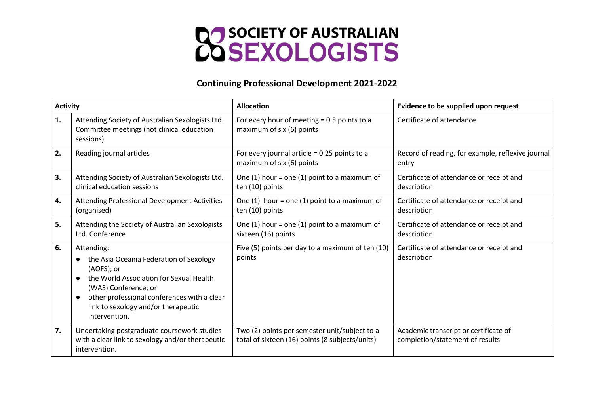

## **Continuing Professional Development 2021-2022**

| <b>Activity</b> |                                                                                                                                                                                                                                               | <b>Allocation</b>                                                                                | Evidence to be supplied upon request                                     |  |
|-----------------|-----------------------------------------------------------------------------------------------------------------------------------------------------------------------------------------------------------------------------------------------|--------------------------------------------------------------------------------------------------|--------------------------------------------------------------------------|--|
| 1.              | Attending Society of Australian Sexologists Ltd.<br>Committee meetings (not clinical education<br>sessions)                                                                                                                                   | For every hour of meeting $= 0.5$ points to a<br>maximum of six (6) points                       | Certificate of attendance                                                |  |
| 2.              | Reading journal articles                                                                                                                                                                                                                      | For every journal article = $0.25$ points to a<br>maximum of six (6) points                      | Record of reading, for example, reflexive journal<br>entry               |  |
| 3.              | Attending Society of Australian Sexologists Ltd.<br>clinical education sessions                                                                                                                                                               | One $(1)$ hour = one $(1)$ point to a maximum of<br>ten (10) points                              | Certificate of attendance or receipt and<br>description                  |  |
| 4.              | Attending Professional Development Activities<br>(organised)                                                                                                                                                                                  | One $(1)$ hour = one $(1)$ point to a maximum of<br>ten (10) points                              | Certificate of attendance or receipt and<br>description                  |  |
| 5.              | Attending the Society of Australian Sexologists<br>Ltd. Conference                                                                                                                                                                            | One $(1)$ hour = one $(1)$ point to a maximum of<br>sixteen (16) points                          | Certificate of attendance or receipt and<br>description                  |  |
| 6.              | Attending:<br>the Asia Oceania Federation of Sexology<br>(AOFS); or<br>the World Association for Sexual Health<br>(WAS) Conference; or<br>other professional conferences with a clear<br>link to sexology and/or therapeutic<br>intervention. | Five (5) points per day to a maximum of ten (10)<br>points                                       | Certificate of attendance or receipt and<br>description                  |  |
| 7.              | Undertaking postgraduate coursework studies<br>with a clear link to sexology and/or therapeutic<br>intervention.                                                                                                                              | Two (2) points per semester unit/subject to a<br>total of sixteen (16) points (8 subjects/units) | Academic transcript or certificate of<br>completion/statement of results |  |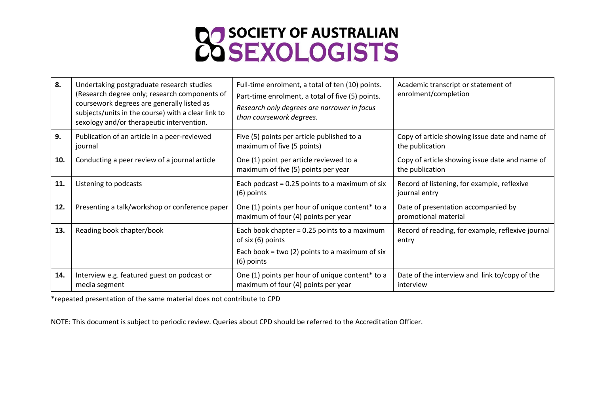

| 8.  | Undertaking postgraduate research studies<br>(Research degree only; research components of<br>coursework degrees are generally listed as<br>subjects/units in the course) with a clear link to<br>sexology and/or therapeutic intervention. | Full-time enrolment, a total of ten (10) points.<br>Part-time enrolment, a total of five (5) points.<br>Research only degrees are narrower in focus<br>than coursework degrees. | Academic transcript or statement of<br>enrolment/completion       |  |
|-----|---------------------------------------------------------------------------------------------------------------------------------------------------------------------------------------------------------------------------------------------|---------------------------------------------------------------------------------------------------------------------------------------------------------------------------------|-------------------------------------------------------------------|--|
| 9.  | Publication of an article in a peer-reviewed<br>journal                                                                                                                                                                                     | Five (5) points per article published to a<br>maximum of five (5 points)                                                                                                        | Copy of article showing issue date and name of<br>the publication |  |
| 10. | Conducting a peer review of a journal article                                                                                                                                                                                               | One (1) point per article reviewed to a<br>maximum of five (5) points per year                                                                                                  | Copy of article showing issue date and name of<br>the publication |  |
| 11. | Listening to podcasts                                                                                                                                                                                                                       | Each podcast = $0.25$ points to a maximum of six<br>$(6)$ points                                                                                                                | Record of listening, for example, reflexive<br>journal entry      |  |
| 12. | Presenting a talk/workshop or conference paper                                                                                                                                                                                              | One (1) points per hour of unique content* to a<br>maximum of four (4) points per year                                                                                          | Date of presentation accompanied by<br>promotional material       |  |
| 13. | Reading book chapter/book                                                                                                                                                                                                                   | Each book chapter = 0.25 points to a maximum<br>of six (6) points<br>Each book = two (2) points to a maximum of six<br>$(6)$ points                                             | Record of reading, for example, reflexive journal<br>entry        |  |
| 14. | Interview e.g. featured guest on podcast or<br>media segment                                                                                                                                                                                | One (1) points per hour of unique content* to a<br>maximum of four (4) points per year                                                                                          | Date of the interview and link to/copy of the<br>interview        |  |

\*repeated presentation of the same material does not contribute to CPD

NOTE: This document is subject to periodic review. Queries about CPD should be referred to the Accreditation Officer.